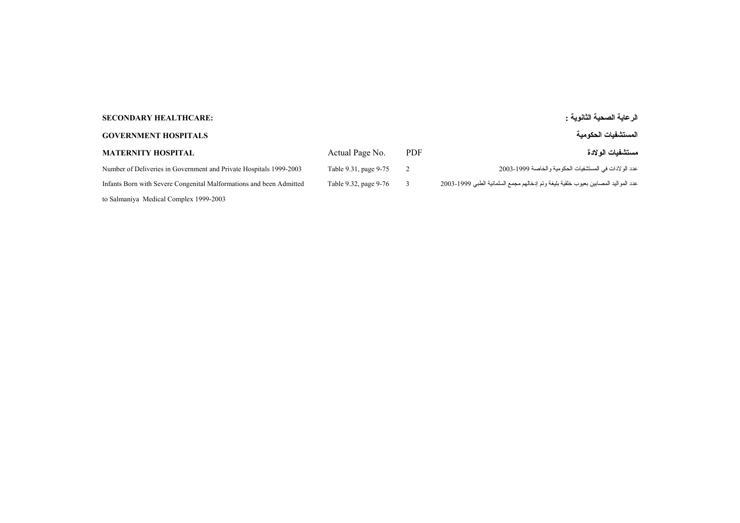## **الرعاية الصحية الثانوية : :HEALTHCARE SECONDARY**

## **المستشفيات الحكومية HOSPITALS GOVERNMENT**

| MATERNITY HOSPITAL                                                  | Actual Page No.       | <b>PDF</b>   | مستشفبات الو لادة                                                                  |
|---------------------------------------------------------------------|-----------------------|--------------|------------------------------------------------------------------------------------|
| Number of Deliveries in Government and Private Hospitals 1999-2003  | Table 9.31, page 9-75 | <sup>2</sup> | عدد الو لادات في المستشفيات الحكومية و الخاصـة 1999-2003                           |
| Infants Born with Severe Congenital Malformations and been Admitted | Table 9.32, page 9-76 |              | عدد المواليد المصابين بعيوب خلقية بليغة وتم إدخالهم مجمع السلمانية الطبي 1999-2003 |

to Salmaniya Medical Complex 1999-2003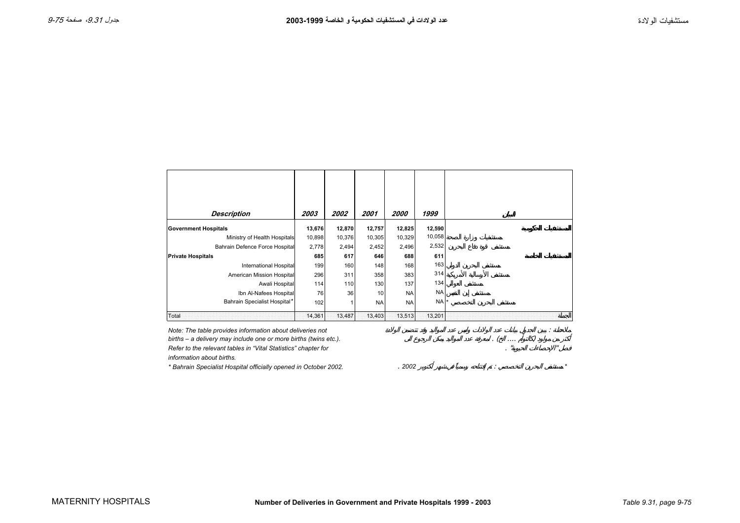<span id="page-1-0"></span>

| <b>Description</b>             | 2003   | 2002   | 2001      | <i><b>2000</b></i> | 1999      |  |
|--------------------------------|--------|--------|-----------|--------------------|-----------|--|
| <b>Government Hospitals</b>    | 13,676 | 12,870 | 12,757    | 12,825             | 12,590    |  |
| Ministry of Health Hospitals   | 10,898 | 10,376 | 10,305    | 10,329             | 10,058    |  |
| Bahrain Defence Force Hospital | 2,778  | 2,494  | 2,452     | 2,496              | 2,532     |  |
| <b>Private Hospitals</b>       | 685    | 617    | 646       | 688                | 611       |  |
| <b>International Hospital</b>  | 199    | 160    | 148       | 168                | 163       |  |
| American Mission Hospital      | 296    | 311    | 358       | 383                | 314       |  |
| Awali Hospital                 | 114    | 110    | 130       | 137                | 134       |  |
| Ibn Al-Nafees Hospital         | 76     | 36     | 10        | <b>NA</b>          | <b>NA</b> |  |
| Bahrain Specialist Hospital*   | 102    | 1      | <b>NA</b> | <b>NA</b>          | NA        |  |
| Total                          | 14,361 | 13,487 | 13,403    | 13,513             | 13,201    |  |

*Note: The table provides information about deliveries not*  $\frac{1}{2}$  in the set of  $\frac{1}{2}$  in this  $\frac{1}{2}$  and  $\frac{1}{2}$  in the set of the relevant tables in "Vital Statistics" chapter for  $\frac{1}{2}$  and  $\frac{1}{2}$  and births – a delivery may include one or more births (twins etc.). *Refer to the relevant tables in "Vital Statistics" chapter for* 

*information about births.*

*\* Bahrain Specialist Hospital officially opened in October 2002.* . *2002* : *\**